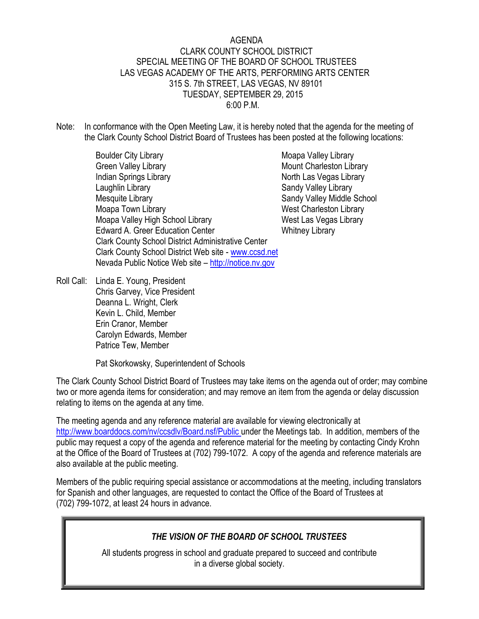#### AGENDA CLARK COUNTY SCHOOL DISTRICT SPECIAL MEETING OF THE BOARD OF SCHOOL TRUSTEES LAS VEGAS ACADEMY OF THE ARTS, PERFORMING ARTS CENTER 315 S. 7th STREET, LAS VEGAS, NV 89101 TUESDAY, SEPTEMBER 29, 2015 6:00 P.M.

- Note: In conformance with the Open Meeting Law, it is hereby noted that the agenda for the meeting of the Clark County School District Board of Trustees has been posted at the following locations:
	- Boulder City Library **Moapa Valley Library** Moapa Valley Library Green Valley Library Mount Charleston Library Indian Springs Library North Las Vegas Library Laughlin Library **Sandy Valley Library** Sandy Valley Library Mesquite Library **Sandy Valley Middle School** Sandy Valley Middle School Moapa Town Library Nessetton Library Nest Charleston Library Moapa Valley High School Library West Las Vegas Library Edward A. Greer Education Center Whitney Library Clark County School District Administrative Center Clark County School District Web site - [www.ccsd.net](http://www.ccsd.net/) Nevada Public Notice Web site – [http://notice.nv.gov](http://notice.nv.gov/)
		-

Roll Call: Linda E. Young, President Chris Garvey, Vice President Deanna L. Wright, Clerk Kevin L. Child, Member Erin Cranor, Member Carolyn Edwards, Member Patrice Tew, Member

Pat Skorkowsky, Superintendent of Schools

The Clark County School District Board of Trustees may take items on the agenda out of order; may combine two or more agenda items for consideration; and may remove an item from the agenda or delay discussion relating to items on the agenda at any time.

The meeting agenda and any reference material are available for viewing electronically at [http://www.boarddocs.com/nv/ccsdlv/Board.nsf/Public u](http://www.boarddocs.com/nv/ccsdlv/Board.nsf/Public)nder the Meetings tab. In addition, members of the public may request a copy of the agenda and reference material for the meeting by contacting Cindy Krohn at the Office of the Board of Trustees at (702) 799-1072. A copy of the agenda and reference materials are also available at the public meeting.

Members of the public requiring special assistance or accommodations at the meeting, including translators for Spanish and other languages, are requested to contact the Office of the Board of Trustees at (702) 799-1072, at least 24 hours in advance.

## *THE VISION OF THE BOARD OF SCHOOL TRUSTEES*

All students progress in school and graduate prepared to succeed and contribute in a diverse global society.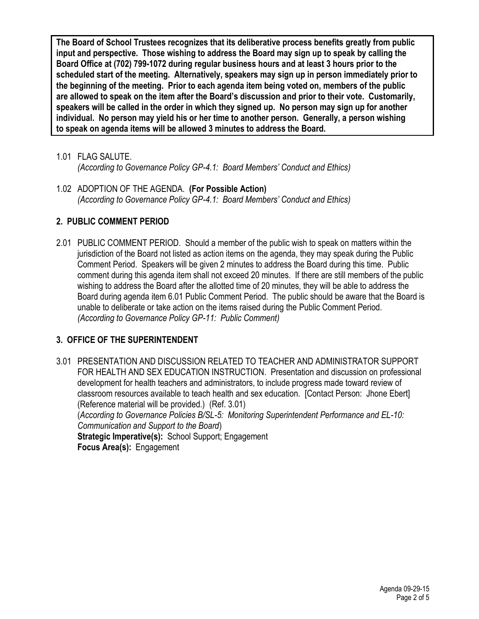**The Board of School Trustees recognizes that its deliberative process benefits greatly from public input and perspective. Those wishing to address the Board may sign up to speak by calling the Board Office at (702) 799-1072 during regular business hours and at least 3 hours prior to the scheduled start of the meeting. Alternatively, speakers may sign up in person immediately prior to the beginning of the meeting. Prior to each agenda item being voted on, members of the public are allowed to speak on the item after the Board's discussion and prior to their vote. Customarily, speakers will be called in the order in which they signed up. No person may sign up for another individual. No person may yield his or her time to another person. Generally, a person wishing to speak on agenda items will be allowed 3 minutes to address the Board.**

1.01 FLAG SALUTE.

*(According to Governance Policy GP-4.1: Board Members' Conduct and Ethics)* 

1.02 ADOPTION OF THE AGENDA. **(For Possible Action)** *(According to Governance Policy GP-4.1: Board Members' Conduct and Ethics)* 

# **2. PUBLIC COMMENT PERIOD**

2.01 PUBLIC COMMENT PERIOD. Should a member of the public wish to speak on matters within the jurisdiction of the Board not listed as action items on the agenda, they may speak during the Public Comment Period. Speakers will be given 2 minutes to address the Board during this time. Public comment during this agenda item shall not exceed 20 minutes. If there are still members of the public wishing to address the Board after the allotted time of 20 minutes, they will be able to address the Board during agenda item 6.01 Public Comment Period. The public should be aware that the Board is unable to deliberate or take action on the items raised during the Public Comment Period. *(According to Governance Policy GP-11: Public Comment)*

# **3. OFFICE OF THE SUPERINTENDENT**

3.01 PRESENTATION AND DISCUSSION RELATED TO TEACHER AND ADMINISTRATOR SUPPORT FOR HEALTH AND SEX EDUCATION INSTRUCTION. Presentation and discussion on professional development for health teachers and administrators, to include progress made toward review of classroom resources available to teach health and sex education. [Contact Person: Jhone Ebert] (Reference material will be provided.) (Ref. 3.01) (*According to Governance Policies B/SL-5: Monitoring Superintendent Performance and EL-10: Communication and Support to the Board*) **Strategic Imperative(s):** School Support; Engagement **Focus Area(s):** Engagement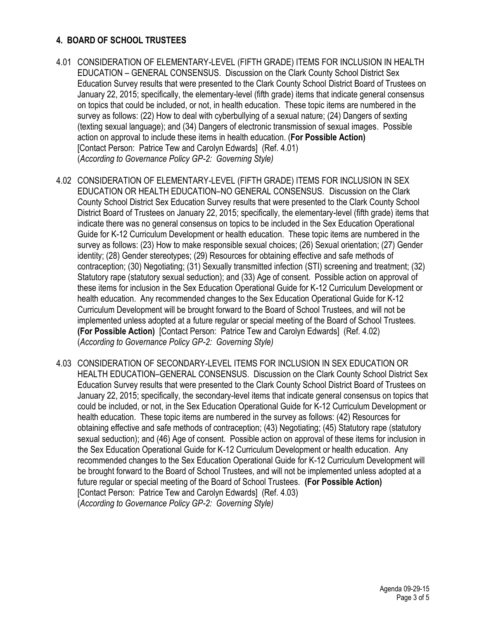#### **4. BOARD OF SCHOOL TRUSTEES**

- 4.01 CONSIDERATION OF ELEMENTARY-LEVEL (FIFTH GRADE) ITEMS FOR INCLUSION IN HEALTH EDUCATION – GENERAL CONSENSUS. Discussion on the Clark County School District Sex Education Survey results that were presented to the Clark County School District Board of Trustees on January 22, 2015; specifically, the elementary-level (fifth grade) items that indicate general consensus on topics that could be included, or not, in health education. These topic items are numbered in the survey as follows: (22) How to deal with cyberbullying of a sexual nature; (24) Dangers of sexting (texting sexual language); and (34) Dangers of electronic transmission of sexual images. Possible action on approval to include these items in health education. (**For Possible Action)** [Contact Person: Patrice Tew and Carolyn Edwards] (Ref. 4.01) (*According to Governance Policy GP-2: Governing Style)*
- 4.02 CONSIDERATION OF ELEMENTARY-LEVEL (FIFTH GRADE) ITEMS FOR INCLUSION IN SEX EDUCATION OR HEALTH EDUCATION–NO GENERAL CONSENSUS. Discussion on the Clark County School District Sex Education Survey results that were presented to the Clark County School District Board of Trustees on January 22, 2015; specifically, the elementary-level (fifth grade) items that indicate there was no general consensus on topics to be included in the Sex Education Operational Guide for K-12 Curriculum Development or health education. These topic items are numbered in the survey as follows: (23) How to make responsible sexual choices; (26) Sexual orientation; (27) Gender identity; (28) Gender stereotypes; (29) Resources for obtaining effective and safe methods of contraception; (30) Negotiating; (31) Sexually transmitted infection (STI) screening and treatment; (32) Statutory rape (statutory sexual seduction); and (33) Age of consent. Possible action on approval of these items for inclusion in the Sex Education Operational Guide for K-12 Curriculum Development or health education. Any recommended changes to the Sex Education Operational Guide for K-12 Curriculum Development will be brought forward to the Board of School Trustees, and will not be implemented unless adopted at a future regular or special meeting of the Board of School Trustees. **(For Possible Action)** [Contact Person: Patrice Tew and Carolyn Edwards] (Ref. 4.02) (*According to Governance Policy GP-2: Governing Style)*
- 4.03 CONSIDERATION OF SECONDARY-LEVEL ITEMS FOR INCLUSION IN SEX EDUCATION OR HEALTH EDUCATION–GENERAL CONSENSUS. Discussion on the Clark County School District Sex Education Survey results that were presented to the Clark County School District Board of Trustees on January 22, 2015; specifically, the secondary-level items that indicate general consensus on topics that could be included, or not, in the Sex Education Operational Guide for K-12 Curriculum Development or health education. These topic items are numbered in the survey as follows: (42) Resources for obtaining effective and safe methods of contraception; (43) Negotiating; (45) Statutory rape (statutory sexual seduction); and (46) Age of consent. Possible action on approval of these items for inclusion in the Sex Education Operational Guide for K-12 Curriculum Development or health education. Any recommended changes to the Sex Education Operational Guide for K-12 Curriculum Development will be brought forward to the Board of School Trustees, and will not be implemented unless adopted at a future regular or special meeting of the Board of School Trustees. **(For Possible Action)**  [Contact Person: Patrice Tew and Carolyn Edwards] (Ref. 4.03) (*According to Governance Policy GP-2: Governing Style)*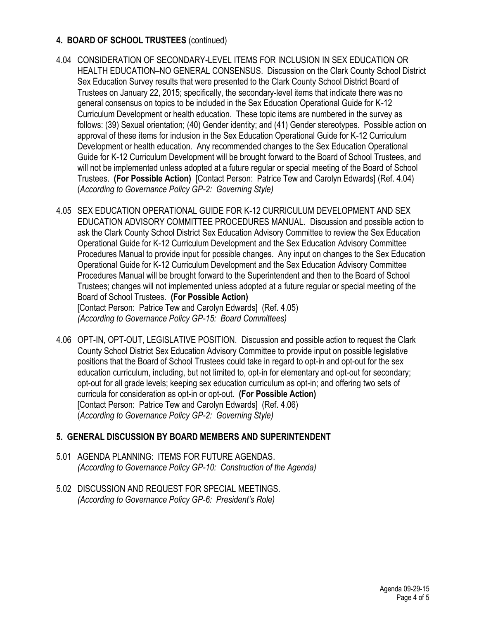## **4. BOARD OF SCHOOL TRUSTEES** (continued)

- 4.04 CONSIDERATION OF SECONDARY-LEVEL ITEMS FOR INCLUSION IN SEX EDUCATION OR HEALTH EDUCATION–NO GENERAL CONSENSUS. Discussion on the Clark County School District Sex Education Survey results that were presented to the Clark County School District Board of Trustees on January 22, 2015; specifically, the secondary-level items that indicate there was no general consensus on topics to be included in the Sex Education Operational Guide for K-12 Curriculum Development or health education. These topic items are numbered in the survey as follows: (39) Sexual orientation; (40) Gender identity; and (41) Gender stereotypes. Possible action on approval of these items for inclusion in the Sex Education Operational Guide for K-12 Curriculum Development or health education. Any recommended changes to the Sex Education Operational Guide for K-12 Curriculum Development will be brought forward to the Board of School Trustees, and will not be implemented unless adopted at a future regular or special meeting of the Board of School Trustees. **(For Possible Action)** [Contact Person: Patrice Tew and Carolyn Edwards] (Ref. 4.04) (*According to Governance Policy GP-2: Governing Style)*
- 4.05 SEX EDUCATION OPERATIONAL GUIDE FOR K-12 CURRICULUM DEVELOPMENT AND SEX EDUCATION ADVISORY COMMITTEE PROCEDURES MANUAL. Discussion and possible action to ask the Clark County School District Sex Education Advisory Committee to review the Sex Education Operational Guide for K-12 Curriculum Development and the Sex Education Advisory Committee Procedures Manual to provide input for possible changes. Any input on changes to the Sex Education Operational Guide for K-12 Curriculum Development and the Sex Education Advisory Committee Procedures Manual will be brought forward to the Superintendent and then to the Board of School Trustees; changes will not implemented unless adopted at a future regular or special meeting of the Board of School Trustees. **(For Possible Action)**  [Contact Person: Patrice Tew and Carolyn Edwards] (Ref. 4.05)

*(According to Governance Policy GP-15: Board Committees)*

4.06 OPT-IN, OPT-OUT, LEGISLATIVE POSITION. Discussion and possible action to request the Clark County School District Sex Education Advisory Committee to provide input on possible legislative positions that the Board of School Trustees could take in regard to opt-in and opt-out for the sex education curriculum, including, but not limited to, opt-in for elementary and opt-out for secondary; opt-out for all grade levels; keeping sex education curriculum as opt-in; and offering two sets of curricula for consideration as opt-in or opt-out. **(For Possible Action)**  [Contact Person: Patrice Tew and Carolyn Edwards] (Ref. 4.06) (*According to Governance Policy GP-2: Governing Style)* 

## **5. GENERAL DISCUSSION BY BOARD MEMBERS AND SUPERINTENDENT**

- 5.01 AGENDA PLANNING: ITEMS FOR FUTURE AGENDAS. *(According to Governance Policy GP-10: Construction of the Agenda)*
- 5.02 DISCUSSION AND REQUEST FOR SPECIAL MEETINGS. *(According to Governance Policy GP-6: President's Role)*